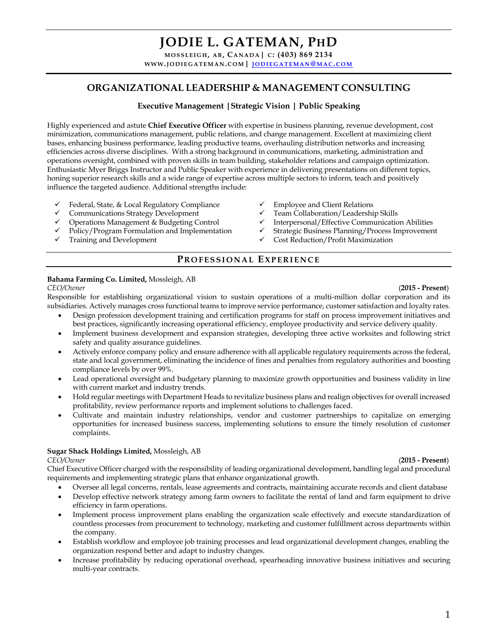**MOSSLEIGH , A B, CANADA| C : (403) 869 2134 WWW.JODIEGATEMAN .COM| JODIEGATEMAN @MAC .COM**

# **ORGANIZATIONAL LEADERSHIP & MANAGEMENT CONSULTING**

### **Executive Management |Strategic Vision | Public Speaking**

Highly experienced and astute **Chief Executive Officer** with expertise in business planning, revenue development, cost minimization, communications management, public relations, and change management. Excellent at maximizing client bases, enhancing business performance, leading productive teams, overhauling distribution networks and increasing efficiencies across diverse disciplines. With a strong background in communications, marketing, administration and operations oversight, combined with proven skills in team building, stakeholder relations and campaign optimization. Enthusiastic Myer Briggs Instructor and Public Speaker with experience in delivering presentations on different topics, honing superior research skills and a wide range of expertise across multiple sectors to inform, teach and positively influence the targeted audience. Additional strengths include:

- Gueral, State, & Local Regulatory Compliance Value in Federal, State, & Local Regulatory Compliance Value in Employee and Client Relations Strategy Development Value Team Collaboration/Leadership Skills
- Communications Strategy Development
- 
- $\checkmark$  Policy/Program Formulation and Implementation  $\checkmark$  Strategic Business Planning/Process Improvement  $\checkmark$  Cost Reduction/Profit Maximization
- 
- 
- 
- Operations Management & Budgeting Control v Interpersonal/Effective Communication Abilities
	-
	- $\checkmark$  Cost Reduction/Profit Maximization

# **P ROFESSIONAL EXPERIENCE**

#### **Bahama Farming Co. Limited,** Mossleigh, AB

Responsible for establishing organizational vision to sustain operations of a multi-million dollar corporation and its subsidiaries. Actively manages cross functional teams to improve service performance, customer satisfaction and loyalty rates.

- Design profession development training and certification programs for staff on process improvement initiatives and best practices, significantly increasing operational efficiency, employee productivity and service delivery quality.
- Implement business development and expansion strategies, developing three active worksites and following strict safety and quality assurance guidelines.
- Actively enforce company policy and ensure adherence with all applicable regulatory requirements across the federal, state and local government, eliminating the incidence of fines and penalties from regulatory authorities and boosting compliance levels by over 99%.
- Lead operational oversight and budgetary planning to maximize growth opportunities and business validity in line with current market and industry trends.
- Hold regular meetings with Department Heads to revitalize business plans and realign objectives for overall increased profitability, review performance reports and implement solutions to challenges faced.
- Cultivate and maintain industry relationships, vendor and customer partnerships to capitalize on emerging opportunities for increased business success, implementing solutions to ensure the timely resolution of customer complaints.

#### **Sugar Shack Holdings Limited,** Mossleigh, AB

#### *CEO/Owner* (**2015 - Present**)

Chief Executive Officer charged with the responsibility of leading organizational development, handling legal and procedural requirements and implementing strategic plans that enhance organizational growth.

- Oversee all legal concerns, rentals, lease agreements and contracts, maintaining accurate records and client database
- Develop effective network strategy among farm owners to facilitate the rental of land and farm equipment to drive efficiency in farm operations.
- Implement process improvement plans enabling the organization scale effectively and execute standardization of countless processes from procurement to technology, marketing and customer fulfillment across departments within the company.
- Establish workflow and employee job training processes and lead organizational development changes, enabling the organization respond better and adapt to industry changes.
- Increase profitability by reducing operational overhead, spearheading innovative business initiatives and securing multi-year contracts.

#### *CEO/Owner* (**2015 - Present**)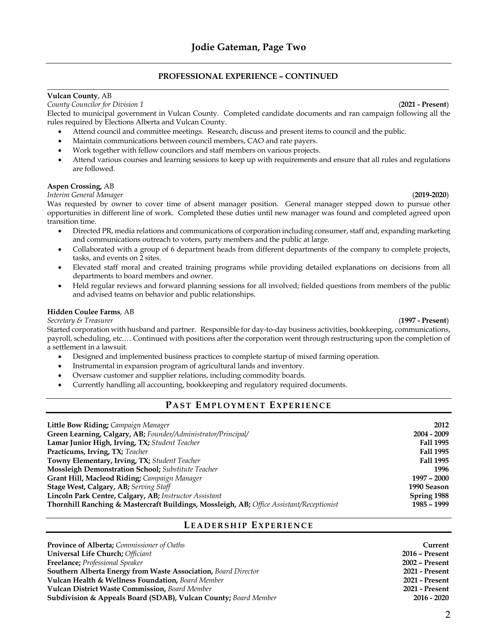#### **PROFESSIONAL EXPERIENCE – CONTINUED \_\_\_\_\_\_\_\_\_\_\_\_\_\_\_\_\_\_\_\_\_\_\_\_\_\_\_\_\_\_\_\_\_\_\_\_\_\_\_\_\_\_\_\_\_\_\_\_\_\_\_\_\_\_\_\_\_\_\_\_\_\_\_\_\_\_\_\_\_\_\_\_\_\_\_\_\_\_\_\_\_\_\_\_\_\_\_\_\_\_\_\_\_\_\_\_\_\_\_**

#### **Vulcan County**, AB

#### *County Councilor for Division 1* (**2021 - Present**)

Elected to municipal government in Vulcan County. Completed candidate documents and ran campaign following all the rules required by Elections Alberta and Vulcan County.

- Attend council and committee meetings. Research, discuss and present items to council and the public.
- Maintain communications between council members, CAO and rate payers.
- Work together with fellow councilors and staff members on various projects.
- Attend various courses and learning sessions to keep up with requirements and ensure that all rules and regulations are followed.

#### **Aspen Crossing,** AB

#### *Interim General Manager* (**2019-2020**)

Was requested by owner to cover time of absent manager position. General manager stepped down to pursue other opportunities in different line of work. Completed these duties until new manager was found and completed agreed upon transition time.

- Directed PR, media relations and communications of corporation including consumer, staff and, expanding marketing and communications outreach to voters, party members and the public at large.
- Collaborated with a group of 6 department heads from different departments of the company to complete projects, tasks, and events on 2 sites.
- Elevated staff moral and created training programs while providing detailed explanations on decisions from all departments to board members and owner.
- Held regular reviews and forward planning sessions for all involved; fielded questions from members of the public and advised teams on behavior and public relationships.

#### **Hidden Coulee Farms**, AB

#### *Secretary & Treasurer* (**1997 - Present**)

Started corporation with husband and partner. Responsible for day-to-day business activities, bookkeeping, communications, payroll, scheduling, etc.… Continued with positions after the corporation went through restructuring upon the completion of a settlement in a lawsuit.

- Designed and implemented business practices to complete startup of mixed farming operation.
- Instrumental in expansion program of agricultural lands and inventory.
- Oversaw customer and supplier relations, including commodity boards.
- Currently handling all accounting, bookkeeping and regulatory required documents.

#### **P AST EMPLOYMENT EXPERIENCE**

| Little Bow Riding; Campaign Manager                                                      | 2012             |
|------------------------------------------------------------------------------------------|------------------|
| Green Learning, Calgary, AB; Founder/Administrator/Principal/                            | 2004 - 2009      |
| Lamar Junior High, Irving, TX; Student Teacher                                           | <b>Fall 1995</b> |
| <b>Practicums, Irving, TX; Teacher</b>                                                   | <b>Fall 1995</b> |
| Towny Elementary, Irving, TX; Student Teacher                                            | <b>Fall 1995</b> |
| <b>Mossleigh Demonstration School;</b> Substitute Teacher                                | 1996             |
| Grant Hill, Macleod Riding; Campaign Manager                                             | $1997 - 2000$    |
| Stage West, Calgary, AB; Serving Staff                                                   | 1990 Season      |
| Lincoln Park Centre, Calgary, AB; Instructor Assistant                                   | Spring 1988      |
| Thornhill Ranching & Mastercraft Buildings, Mossleigh, AB; Office Assistant/Receptionist | $1985 - 1999$    |

### **LEADERSHIP EXPERIENCE**

| <b>Province of Alberta;</b> Commissioner of Oaths                          | Current               |
|----------------------------------------------------------------------------|-----------------------|
| <b>Universal Life Church; Officiant</b>                                    | <b>2016 - Present</b> |
| <b>Freelance; Professional Speaker</b>                                     | 2002 - Present        |
| <b>Southern Alberta Energy from Waste Association, Board Director</b>      | 2021 - Present        |
| <b>Vulcan Health &amp; Wellness Foundation, Board Member</b>               | 2021 - Present        |
| <b>Vulcan District Waste Commission, Board Member</b>                      | 2021 - Present        |
| <b>Subdivision &amp; Appeals Board (SDAB), Vulcan County;</b> Board Member | $2016 - 2020$         |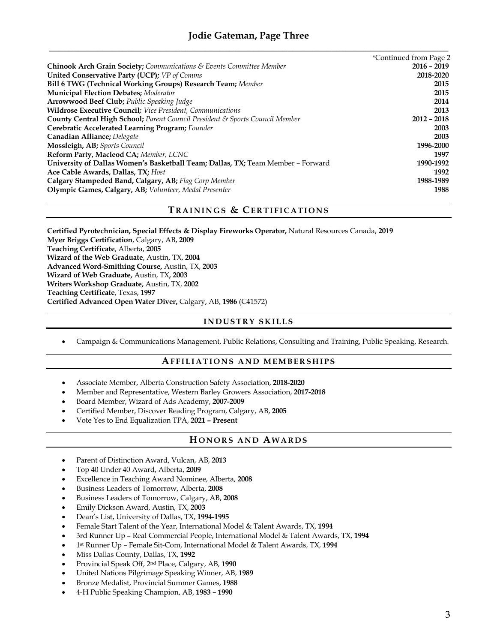# **Jodie Gateman, Page Three \_\_\_\_\_\_\_\_\_\_\_\_\_\_\_\_\_\_\_\_\_\_\_\_\_\_\_\_\_\_\_\_\_\_\_\_\_\_\_\_\_\_\_\_\_\_\_\_\_\_\_\_\_\_\_\_\_\_\_\_\_\_\_\_\_\_\_\_\_\_\_\_\_\_\_\_\_\_\_\_\_\_**

|                                                                                         | *Continued from Page 2 |
|-----------------------------------------------------------------------------------------|------------------------|
| <b>Chinook Arch Grain Society;</b> Communications $\mathcal{E}$ Events Committee Member | $2016 - 2019$          |
| <b>United Conservative Party (UCP);</b> VP of Comms                                     | 2018-2020              |
| Bill 6 TWG (Technical Working Groups) Research Team; Member                             | 2015                   |
| <b>Municipal Election Debates; Moderator</b>                                            | 2015                   |
| <b>Arrowwood Beef Club; Public Speaking Judge</b>                                       | 2014                   |
| Wildrose Executive Council; Vice President, Communications                              | 2013                   |
| <b>County Central High School;</b> Parent Council President & Sports Council Member     | $2012 - 2018$          |
| Cerebratic Accelerated Learning Program; Founder                                        | 2003                   |
| Canadian Alliance; Delegate                                                             | 2003                   |
| Mossleigh, AB; Sports Council                                                           | 1996-2000              |
| Reform Party, Macleod CA; Member, LCNC                                                  | 1997                   |
| University of Dallas Women's Basketball Team; Dallas, TX; Team Member - Forward         | 1990-1992              |
| Ace Cable Awards, Dallas, TX; Host                                                      | 1992                   |
| Calgary Stampeded Band, Calgary, AB; Flag Corp Member                                   | 1988-1989              |
| Olympic Games, Calgary, AB; Volunteer, Medal Presenter                                  | 1988                   |

## **T RAININGS & CERTIFICATIONS**

**Certified Pyrotechnician, Special Effects & Display Fireworks Operator,** Natural Resources Canada, **2019 Myer Briggs Certification**, Calgary, AB, **2009 Teaching Certificate**, Alberta, **2005 Wizard of the Web Graduate**, Austin, TX, **2004 Advanced Word-Smithing Course,** Austin, TX, **2003 Wizard of Web Graduate,** Austin, TX**, 2003 Writers Workshop Graduate,** Austin, TX, **2002 Teaching Certificate**, Texas, **1997 Certified Advanced Open Water Diver,** Calgary, AB, **1986** (C41572)

# **INDUSTRY SKILLS**

• Campaign & Communications Management, Public Relations, Consulting and Training, Public Speaking, Research.

### **AFFILIATIONS AND MEMBERSHIPS**

- Associate Member, Alberta Construction Safety Association, **2018-2020**
- Member and Representative, Western Barley Growers Association, **2017-2018**
- Board Member, Wizard of Ads Academy, **2007-2009**
- Certified Member, Discover Reading Program, Calgary, AB, **2005**
- Vote Yes to End Equalization TPA, **2021 – Present**

### **HONORS AND AWARDS**

- Parent of Distinction Award, Vulcan, AB, **2013**
- Top 40 Under 40 Award, Alberta, **2009**
- Excellence in Teaching Award Nominee, Alberta, **2008**
- Business Leaders of Tomorrow, Alberta, **2008**
- Business Leaders of Tomorrow, Calgary, AB, **2008**
- Emily Dickson Award, Austin, TX, **2003**
- Dean's List, University of Dallas, TX, **1994-1995**
- Female Start Talent of the Year, International Model & Talent Awards, TX, **1994**
- 3rd Runner Up Real Commercial People, International Model & Talent Awards, TX, **1994**
- 1st Runner Up Female Sit-Com, International Model & Talent Awards, TX, **1994**
- Miss Dallas County, Dallas, TX, **1992**
- Provincial Speak Off, 2nd Place, Calgary, AB, **1990**
- United Nations Pilgrimage Speaking Winner, AB, **1989**
- Bronze Medalist, Provincial Summer Games, **1988**
- 4-H Public Speaking Champion, AB, **1983 – 1990**